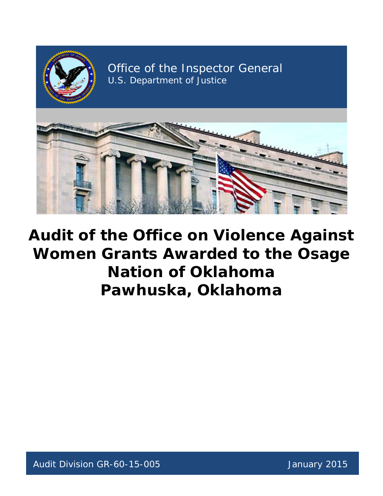

Office of the Inspector General U.S. Department of Justice



# **Audit of the Office on Violence Against Women Grants Awarded to the Osage Nation of Oklahoma Pawhuska, Oklahoma**

Audit Division GR-60-15-005 January 2015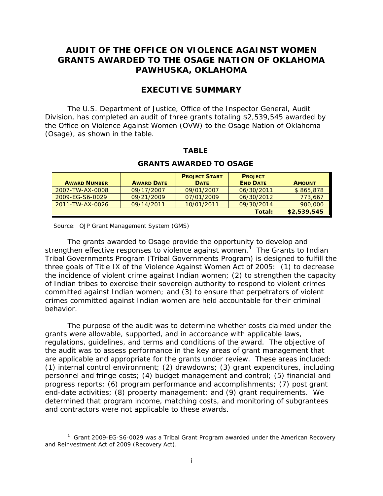### **AUDIT OF THE OFFICE ON VIOLENCE AGAINST WOMEN GRANTS AWARDED TO THE OSAGE NATION OF OKLAHOMA PAWHUSKA, OKLAHOMA**

### **EXECUTIVE SUMMARY**

 Division, has completed an audit of three grants totaling \$2,539,545 awarded by The U.S. Department of Justice, Office of the Inspector General, Audit the Office on Violence Against Women (OVW) to the Osage Nation of Oklahoma (Osage), as shown in the table.

#### **TABLE**

|                     |                   | <b>PROJECT START</b> | <b>PROJECT</b>  |               |
|---------------------|-------------------|----------------------|-----------------|---------------|
| <b>AWARD NUMBER</b> | <b>AWARD DATE</b> | <b>DATE</b>          | <b>END DATE</b> | <b>AMOUNT</b> |
| 2007-TW-AX-0008     | 09/17/2007        | 09/01/2007           | 06/30/2011      | \$865,878     |
| 2009-EG-S6-0029     | 09/21/2009        | 07/01/2009           | 06/30/2012      | 773,667       |
| 2011-TW-AX-0026     | 09/14/2011        | 10/01/2011           | 09/30/2014      | 900,000       |
|                     |                   |                      | Total:          | \$2.539.545   |

#### **GRANTS AWARDED TO OSAGE**

Source: OJP Grant Management System (GMS)

 $\overline{a}$ 

 The grants awarded to Osage provide the opportunity to develop and strengthen effective responses to violence against women.<sup>1</sup> The Grants to Indian Tribal Governments Program (Tribal Governments Program) is designed to fulfill the three goals of Title IX of the Violence Against Women Act of 2005: (1) to decrease the incidence of violent crime against Indian women; (2) to strengthen the capacity of Indian tribes to exercise their sovereign authority to respond to violent crimes committed against Indian women; and (3) to ensure that perpetrators of violent crimes committed against Indian women are held accountable for their criminal behavior.

 grants were allowable, supported, and in accordance with applicable laws, regulations, guidelines, and terms and conditions of the award. The objective of end-date activities; (8) property management; and (9) grant requirements. We The purpose of the audit was to determine whether costs claimed under the the audit was to assess performance in the key areas of grant management that are applicable and appropriate for the grants under review. These areas included: (1) internal control environment; (2) drawdowns; (3) grant expenditures, including personnel and fringe costs; (4) budget management and control; (5) financial and progress reports; (6) program performance and accomplishments; (7) post grant determined that program income, matching costs, and monitoring of subgrantees and contractors were not applicable to these awards.

<span id="page-1-0"></span> $1$  Grant 2009-EG-S6-0029 was a Tribal Grant Program awarded under the American Recovery and Reinvestment Act of 2009 (Recovery Act).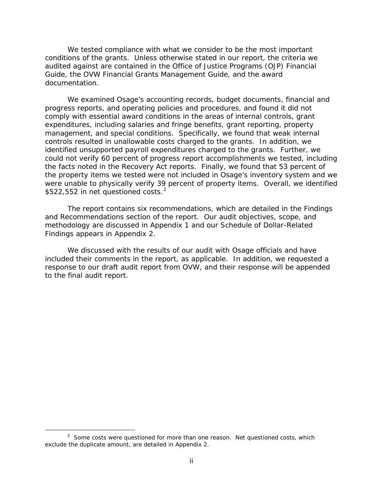We tested compliance with what we consider to be the most important conditions of the grants. Unless otherwise stated in our report, the criteria we audited against are contained in the Office of Justice Programs (OJP) Financial Guide, the OVW Financial Grants Management Guide, and the award documentation.

 management, and special conditions. Specifically, we found that weak internal were unable to physically verify 39 percent of property items. Overall, we identified  $$522,552$  in net questioned costs.<sup>2</sup> We examined Osage's accounting records, budget documents, financial and progress reports, and operating policies and procedures, and found it did not comply with essential award conditions in the areas of internal controls, grant expenditures, including salaries and fringe benefits, grant reporting, property controls resulted in unallowable costs charged to the grants. In addition, we identified unsupported payroll expenditures charged to the grants. Further, we could not verify 60 percent of progress report accomplishments we tested, including the facts noted in the Recovery Act reports. Finally, we found that 53 percent of the property items we tested were not included in Osage's inventory system and we

 Findings appears in Appendix 2. The report contains six recommendations, which are detailed in the Findings and Recommendations section of the report. Our audit objectives, scope, and methodology are discussed in Appendix 1 and our Schedule of Dollar-Related

 We discussed with the results of our audit with Osage officials and have included their comments in the report, as applicable. In addition, we requested a response to our draft audit report from OVW, and their response will be appended to the final audit report.

 $\overline{a}$ 

<span id="page-2-0"></span> $2$  Some costs were questioned for more than one reason. Net questioned costs, which exclude the duplicate amount, are detailed in Appendix 2.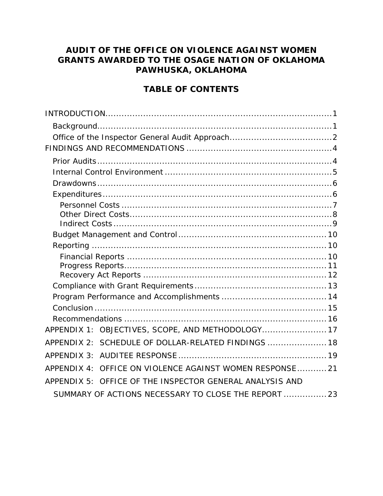## **AUDIT OF THE OFFICE ON VIOLENCE AGAINST WOMEN GRANTS AWARDED TO THE OSAGE NATION OF OKLAHOMA PAWHUSKA, OKLAHOMA**

### **TABLE OF CONTENTS**

| APPENDIX 1: OBJECTIVES, SCOPE, AND METHODOLOGY 17        |  |
|----------------------------------------------------------|--|
| APPENDIX 2: SCHEDULE OF DOLLAR-RELATED FINDINGS  18      |  |
| APPENDIX 3:                                              |  |
| APPENDIX 4: OFFICE ON VIOLENCE AGAINST WOMEN RESPONSE 21 |  |
| APPENDIX 5: OFFICE OF THE INSPECTOR GENERAL ANALYSIS AND |  |
| SUMMARY OF ACTIONS NECESSARY TO CLOSE THE REPORT  23     |  |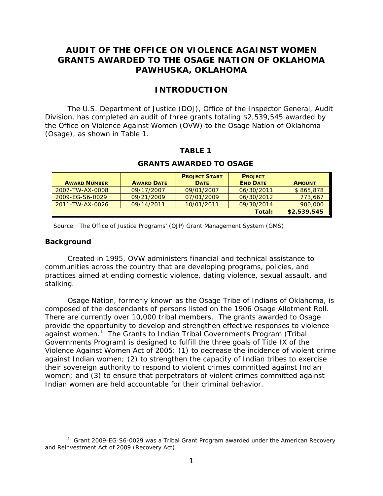### **AUDIT OF THE OFFICE ON VIOLENCE AGAINST WOMEN GRANTS AWARDED TO THE OSAGE NATION OF OKLAHOMA PAWHUSKA, OKLAHOMA**

### **INTRODUCTION**

<span id="page-4-0"></span> Division, has completed an audit of three grants totaling \$2,539,545 awarded by (Osage), as shown in Table 1. The U.S. Department of Justice (DOJ), Office of the Inspector General, Audit the Office on Violence Against Women (OVW) to the Osage Nation of Oklahoma

#### **TABLE 1**

| <b>AWARD NUMBER</b> | <b>AWARD DATE</b> | <b>PROJECT START</b><br><b>DATE</b> | <b>PROJECT</b><br><b>END DATE</b> | <b>AMOUNT</b> |
|---------------------|-------------------|-------------------------------------|-----------------------------------|---------------|
| 2007-TW-AX-0008     | 09/17/2007        | 09/01/2007                          | 06/30/2011                        | \$865,878     |
| 2009-EG-S6-0029     | 09/21/2009        | 07/01/2009                          | 06/30/2012                        | 773,667       |
| 2011-TW-AX-0026     | 09/14/2011        | 10/01/2011                          | 09/30/2014                        | 900,000       |
|                     |                   |                                     | Total:                            | \$2,539,545   |

#### **GRANTS AWARDED TO OSAGE**

Source: The Office of Justice Programs' (OJP) Grant Management System (GMS)

#### <span id="page-4-1"></span>**Background**

 $\overline{a}$ 

Created in 1995, OVW administers financial and technical assistance to communities across the country that are developing programs, policies, and practices aimed at ending domestic violence, dating violence, sexual assault, and stalking.

 Osage Nation, formerly known as the Osage Tribe of Indians of Oklahoma, is against women.<sup>1</sup> The Grants to Indian Tribal Governments Program (Tribal composed of the descendants of persons listed on the 1906 Osage Allotment Roll. There are currently over 10,000 tribal members. The grants awarded to Osage provide the opportunity to develop and strengthen effective responses to violence Governments Program) is designed to fulfill the three goals of Title IX of the Violence Against Women Act of 2005: (1) to decrease the incidence of violent crime against Indian women; (2) to strengthen the capacity of Indian tribes to exercise their sovereign authority to respond to violent crimes committed against Indian women; and (3) to ensure that perpetrators of violent crimes committed against Indian women are held accountable for their criminal behavior.

<span id="page-4-2"></span> $1$  Grant 2009-EG-S6-0029 was a Tribal Grant Program awarded under the American Recovery and Reinvestment Act of 2009 (Recovery Act).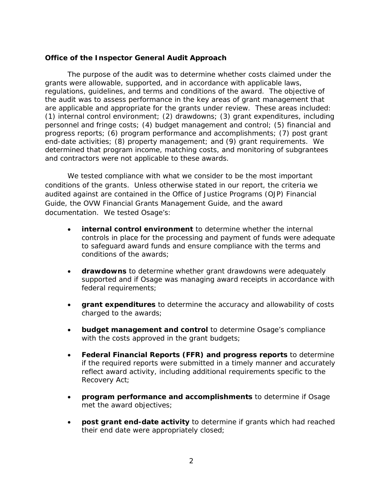#### <span id="page-5-0"></span>**Office of the Inspector General Audit Approach**

 grants were allowable, supported, and in accordance with applicable laws, regulations, guidelines, and terms and conditions of the award. The objective of are applicable and appropriate for the grants under review. These areas included: (1) internal control environment; (2) drawdowns; (3) grant expenditures, including personnel and fringe costs; (4) budget management and control; (5) financial and progress reports; (6) program performance and accomplishments; (7) post grant determined that program income, matching costs, and monitoring of subgrantees and contractors were not applicable to these awards. The purpose of the audit was to determine whether costs claimed under the the audit was to assess performance in the key areas of grant management that end-date activities; (8) property management; and (9) grant requirements. We

 conditions of the grants. Unless otherwise stated in our report, the criteria we audited against are contained in the Office of Justice Programs (OJP) Financial documentation. We tested Osage's: We tested compliance with what we consider to be the most important Guide, the OVW Financial Grants Management Guide, and the award

- conditions of the awards; • **internal control environment** to determine whether the internal controls in place for the processing and payment of funds were adequate to safeguard award funds and ensure compliance with the terms and
- **drawdowns** to determine whether grant drawdowns were adequately supported and if Osage was managing award receipts in accordance with federal requirements;
- • **grant expenditures** to determine the accuracy and allowability of costs charged to the awards;
- with the costs approved in the grant budgets; • **budget management and control** to determine Osage's compliance
- • **Federal Financial Reports (FFR) and progress reports** to determine if the required reports were submitted in a timely manner and accurately reflect award activity, including additional requirements specific to the Recovery Act;
- • **program performance and accomplishments** to determine if Osage met the award objectives;
- their end date were appropriately closed;<br>2 • **post grant end-date activity** to determine if grants which had reached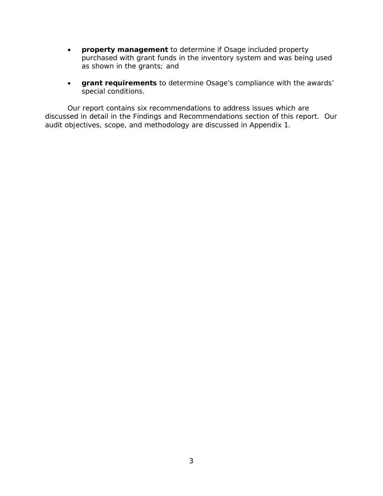- purchased with grant funds in the inventory system and was being used • **property management** to determine if Osage included property as shown in the grants; and
- • **grant requirements** to determine Osage's compliance with the awards' special conditions.

 discussed in detail in the Findings and Recommendations section of this report. Our audit objectives, scope, and methodology are discussed in Appendix 1. Our report contains six recommendations to address issues which are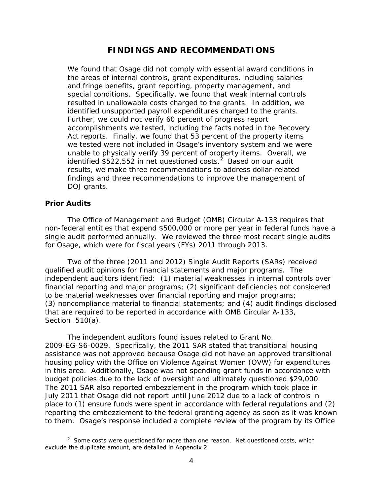### **FINDINGS AND RECOMMENDATIONS**

<span id="page-7-0"></span>identified unsupported payroll expenditures charged to the grants.<br>Further, we could not verify 60 percent of progress report Act reports. Finally, we found that 53 percent of the property items unable to physically verify 39 percent of property items. Overall, we identified \$522,55[2](#page-7-2) in net questioned costs. $^2$  Based on our audit We found that Osage did not comply with essential award conditions in the areas of internal controls, grant expenditures, including salaries and fringe benefits, grant reporting, property management, and special conditions. Specifically, we found that weak internal controls resulted in unallowable costs charged to the grants. In addition, we accomplishments we tested, including the facts noted in the Recovery we tested were not included in Osage's inventory system and we were results, we make three recommendations to address dollar-related findings and three recommendations to improve the management of DOJ grants.

#### <span id="page-7-1"></span>**Prior Audits**

 $\overline{a}$ 

 The Office of Management and Budget (OMB) Circular A-133 requires that non-federal entities that expend \$500,000 or more per year in federal funds have a single audit performed annually. We reviewed the three most recent single audits for Osage, which were for fiscal years (FYs) 2011 through 2013.

 qualified audit opinions for financial statements and major programs. The independent auditors identified: (1) material weaknesses in internal controls over Section .510(a). Two of the three (2011 and 2012) Single Audit Reports (SARs) received financial reporting and major programs; (2) significant deficiencies not considered to be material weaknesses over financial reporting and major programs; (3) noncompliance material to financial statements; and (4) audit findings disclosed that are required to be reported in accordance with OMB Circular A-133,

 The independent auditors found issues related to Grant No. in this area. Additionally, Osage was not spending grant funds in accordance with to them. Osage's response included a complete review of the program by its Office 2009-EG-S6-0029. Specifically, the 2011 SAR stated that transitional housing assistance was not approved because Osage did not have an approved transitional housing policy with the Office on Violence Against Women (OVW) for expenditures budget policies due to the lack of oversight and ultimately questioned \$29,000. The 2011 SAR also reported embezzlement in the program which took place in July 2011 that Osage did not report until June 2012 due to a lack of controls in place to (1) ensure funds were spent in accordance with federal regulations and (2) reporting the embezzlement to the federal granting agency as soon as it was known

<span id="page-7-2"></span> $2$  Some costs were questioned for more than one reason. Net questioned costs, which exclude the duplicate amount, are detailed in Appendix 2.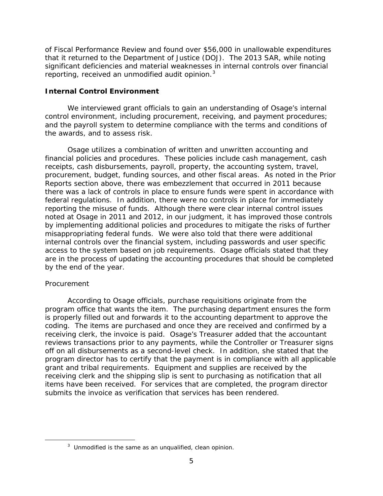reporting, received an unmodified audit opinion.<sup>[3](#page-8-1)</sup> of Fiscal Performance Review and found over \$56,000 in unallowable expenditures that it returned to the Department of Justice (DOJ). The 2013 SAR, while noting significant deficiencies and material weaknesses in internal controls over financial

### <span id="page-8-0"></span> **Internal Control Environment**

 and the payroll system to determine compliance with the terms and conditions of We interviewed grant officials to gain an understanding of Osage's internal control environment, including procurement, receiving, and payment procedures; the awards, and to assess risk.

 procurement, budget, funding sources, and other fiscal areas. As noted in the Prior reporting the misuse of funds. Although there were clear internal control issues noted at Osage in 2011 and 2012, in our judgment, it has improved those controls misappropriating federal funds. We were also told that there were additional access to the system based on job requirements. Osage officials stated that they by the end of the year. Osage utilizes a combination of written and unwritten accounting and financial policies and procedures. These policies include cash management, cash receipts, cash disbursements, payroll, property, the accounting system, travel, Reports section above, there was embezzlement that occurred in 2011 because there was a lack of controls in place to ensure funds were spent in accordance with federal regulations. In addition, there were no controls in place for immediately by implementing additional policies and procedures to mitigate the risks of further internal controls over the financial system, including passwords and user specific are in the process of updating the accounting procedures that should be completed

### *Procurement*

<span id="page-8-1"></span> $\overline{a}$ 

 According to Osage officials, purchase requisitions originate from the is properly filled out and forwards it to the accounting department to approve the receiving clerk, the invoice is paid. Osage's Treasurer added that the accountant program director has to certify that the payment is in compliance with all applicable grant and tribal requirements. Equipment and supplies are received by the program office that wants the item. The purchasing department ensures the form coding. The items are purchased and once they are received and confirmed by a reviews transactions prior to any payments, while the Controller or Treasurer signs off on all disbursements as a second-level check. In addition, she stated that the receiving clerk and the shipping slip is sent to purchasing as notification that all items have been received. For services that are completed, the program director submits the invoice as verification that services has been rendered.

 $3$  Unmodified is the same as an unqualified, clean opinion.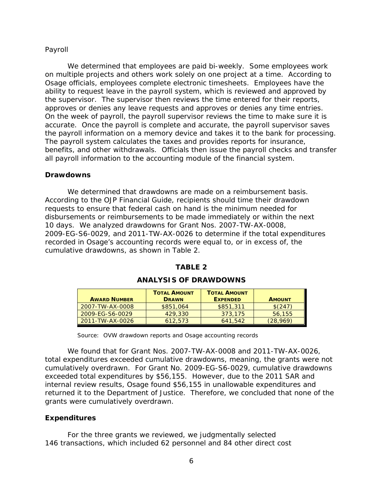#### *Payroll*

 on multiple projects and others work solely on one project at a time. According to Osage officials, employees complete electronic timesheets. Employees have the approves or denies any leave requests and approves or denies any time entries. the payroll information on a memory device and takes it to the bank for processing. all payroll information to the accounting module of the financial system. We determined that employees are paid bi-weekly. Some employees work ability to request leave in the payroll system, which is reviewed and approved by the supervisor. The supervisor then reviews the time entered for their reports, On the week of payroll, the payroll supervisor reviews the time to make sure it is accurate. Once the payroll is complete and accurate, the payroll supervisor saves The payroll system calculates the taxes and provides reports for insurance, benefits, and other withdrawals. Officials then issue the payroll checks and transfer

#### <span id="page-9-0"></span>**Drawdowns**

 cumulative drawdowns, as shown in Table 2. We determined that drawdowns are made on a reimbursement basis. According to the OJP Financial Guide, recipients should time their drawdown requests to ensure that federal cash on hand is the minimum needed for disbursements or reimbursements to be made immediately or within the next 10 days. We analyzed drawdowns for Grant Nos. 2007-TW-AX-0008, 2009-EG-S6-0029, and 2011-TW-AX-0026 to determine if the total expenditures recorded in Osage's accounting records were equal to, or in excess of, the

| <b>AWARD NUMBER</b> | <b>TOTAL AMOUNT</b><br><b>DRAWN</b> | <b>TOTAL AMOUNT</b><br><b>EXPENDED</b> | <b>AMOUNT</b> |
|---------------------|-------------------------------------|----------------------------------------|---------------|
| 2007-TW-AX-0008     | \$851,064                           | \$851,311                              | \$(247)       |
| 2009-EG-S6-0029     | 429,330                             | 373.175                                | 56,155        |
| 2011-TW-AX-0026     | 612.573                             | 641.542                                | (28,969)      |

### **TABLE 2 ANALYSIS OF DRAWDOWNS**

Source: OVW drawdown reports and Osage accounting records

 exceeded total expenditures by \$56,155. However, due to the 2011 SAR and We found that for Grant Nos. 2007-TW-AX-0008 and 2011-TW-AX-0026, total expenditures exceeded cumulative drawdowns, meaning, the grants were not cumulatively overdrawn. For Grant No. 2009-EG-S6-0029, cumulative drawdowns internal review results, Osage found \$56,155 in unallowable expenditures and returned it to the Department of Justice. Therefore, we concluded that none of the grants were cumulatively overdrawn.

### <span id="page-9-1"></span>**Expenditures**

 146 transactions, which included 62 personnel and 84 other direct cost For the three grants we reviewed, we judgmentally selected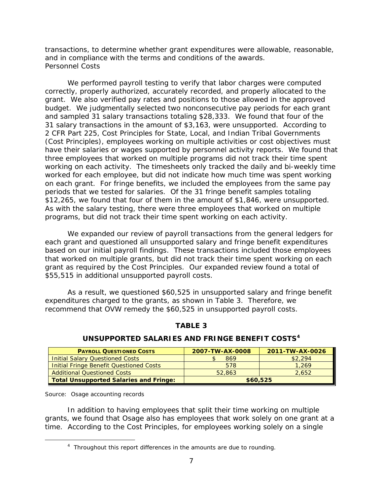<span id="page-10-0"></span> transactions, to determine whether grant expenditures were allowable, reasonable, and in compliance with the terms and conditions of the awards. *Personnel Costs* 

 and sampled 31 salary transactions totaling \$28,333. We found that four of the 31 salary transactions in the amount of \$3,163, were unsupported. According to have their salaries or wages supported by personnel activity reports. We found that working on each activity. The timesheets only tracked the daily and bi-weekly time on each grant. For fringe benefits, we included the employees from the same pay \$12,265, we found that four of them in the amount of \$1,846, were unsupported. We performed payroll testing to verify that labor charges were computed correctly, properly authorized, accurately recorded, and properly allocated to the grant. We also verified pay rates and positions to those allowed in the approved budget. We judgmentally selected two nonconsecutive pay periods for each grant 2 CFR Part 225, Cost Principles for State, Local, and Indian Tribal Governments (Cost Principles), employees working on multiple activities or cost objectives must three employees that worked on multiple programs did not track their time spent worked for each employee, but did not indicate how much time was spent working periods that we tested for salaries. Of the 31 fringe benefit samples totaling As with the salary testing, there were three employees that worked on multiple programs, but did not track their time spent working on each activity.

 based on our initial payroll findings. These transactions included those employees grant as required by the Cost Principles. Our expanded review found a total of \$55,515 in additional unsupported payroll costs. We expanded our review of payroll transactions from the general ledgers for each grant and questioned all unsupported salary and fringe benefit expenditures that worked on multiple grants, but did not track their time spent working on each

 \$55,515 in additional unsupported payroll costs. As a result, we questioned \$60,525 in unsupported salary and fringe benefit expenditures charged to the grants, as shown in Table 3. Therefore, we recommend that OVW remedy the \$60,525 in unsupported payroll costs.

| <b>PAYROLL QUESTIONED COSTS</b>                | 2007-TW-AX-0008 | 2011-TW-AX-0026 |
|------------------------------------------------|-----------------|-----------------|
| <b>Initial Salary Questioned Costs</b>         | 869             | \$2.294         |
| <b>Initial Fringe Benefit Questioned Costs</b> | 578             | 1.269           |
| <b>Additional Questioned Costs</b>             | 52,863          | 2.652           |
| <b>Total Unsupported Salaries and Fringe:</b>  | \$60,525        |                 |

### **TABLE 3 UNSUPPORTED SALARIES AND FRINGE BENEFIT COSTS[4](#page-10-1)**

Source: Osage accounting records

<span id="page-10-1"></span> $\overline{a}$ 

 time. According to the Cost Principles, for employees working solely on a single In addition to having employees that split their time working on multiple grants, we found that Osage also has employees that work solely on one grant at a

<sup>&</sup>lt;sup>4</sup> Throughout this report differences in the amounts are due to rounding.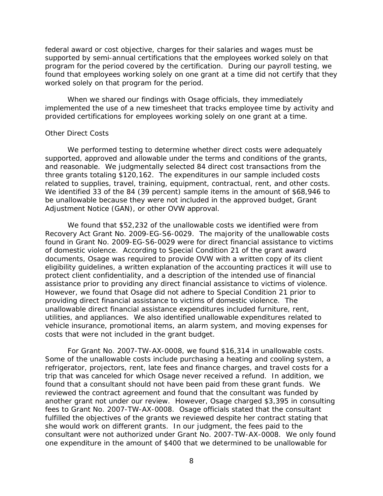found that employees working solely on one grant at a time did not certify that they federal award or cost objective, charges for their salaries and wages must be supported by semi-annual certifications that the employees worked solely on that program for the period covered by the certification. During our payroll testing, we worked solely on that program for the period.

 provided certifications for employees working solely on one grant at a time. When we shared our findings with Osage officials, they immediately implemented the use of a new timesheet that tracks employee time by activity and

#### <span id="page-11-0"></span>*Other Direct Costs*

related to supplies, travel, training, equipment, contractual, rent, and other costs. We performed testing to determine whether direct costs were adequately supported, approved and allowable under the terms and conditions of the grants, and reasonable. We judgmentally selected 84 direct cost transactions from the three grants totaling \$120,162. The expenditures in our sample included costs We identified 33 of the 84 (39 percent) sample items in the amount of \$68,946 to be unallowable because they were not included in the approved budget, Grant Adjustment Notice (GAN), or other OVW approval.

 assistance prior to providing any direct financial assistance to victims of violence. providing direct financial assistance to victims of domestic violence. The utilities, and appliances. We also identified unallowable expenditures related to We found that \$52,232 of the unallowable costs we identified were from Recovery Act Grant No. 2009-EG-S6-0029. The majority of the unallowable costs found in Grant No. 2009-EG-S6-0029 were for direct financial assistance to victims of domestic violence. According to Special Condition 21 of the grant award documents, Osage was required to provide OVW with a written copy of its client eligibility guidelines, a written explanation of the accounting practices it will use to protect client confidentiality, and a description of the intended use of financial However, we found that Osage did not adhere to Special Condition 21 prior to unallowable direct financial assistance expenditures included furniture, rent, vehicle insurance, promotional items, an alarm system, and moving expenses for costs that were not included in the grant budget.

 trip that was canceled for which Osage never received a refund. In addition, we found that a consultant should not have been paid from these grant funds. We For Grant No. 2007-TW-AX-0008, we found \$16,314 in unallowable costs. Some of the unallowable costs include purchasing a heating and cooling system, a refrigerator, projectors, rent, late fees and finance charges, and travel costs for a reviewed the contract agreement and found that the consultant was funded by another grant not under our review. However, Osage charged \$3,395 in consulting fees to Grant No. 2007-TW-AX-0008. Osage officials stated that the consultant fulfilled the objectives of the grants we reviewed despite her contract stating that she would work on different grants. In our judgment, the fees paid to the consultant were not authorized under Grant No. 2007-TW-AX-0008. We only found one expenditure in the amount of \$400 that we determined to be unallowable for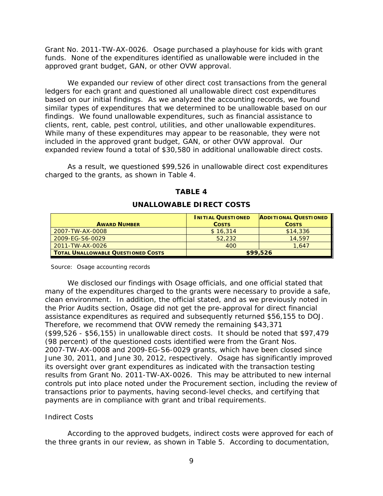Grant No. 2011-TW-AX-0026. Osage purchased a playhouse for kids with grant funds. None of the expenditures identified as unallowable were included in the approved grant budget, GAN, or other OVW approval.

 based on our initial findings. As we analyzed the accounting records, we found included in the approved grant budget, GAN, or other OVW approval. Our expanded review found a total of \$30,580 in additional unallowable direct costs. We expanded our review of other direct cost transactions from the general ledgers for each grant and questioned all unallowable direct cost expenditures similar types of expenditures that we determined to be unallowable based on our findings. We found unallowable expenditures, such as financial assistance to clients, rent, cable, pest control, utilities, and other unallowable expenditures. While many of these expenditures may appear to be reasonable, they were not

 As a result, we questioned \$99,526 in unallowable direct cost expenditures charged to the grants, as shown in Table 4.

| <b>AWARD NUMBER</b>                | <b>INITIAL QUESTIONED</b><br><b>COSTS</b> | <b>ADDITIONAL QUESTIONED</b><br><b>COSTS</b> |
|------------------------------------|-------------------------------------------|----------------------------------------------|
| 2007-TW-AX-0008                    | \$16,314                                  | \$14,336                                     |
| 2009-EG-S6-0029                    | 52,232                                    | 14,597                                       |
| 2011-TW-AX-0026                    | 400                                       | 1.647                                        |
| TOTAL UNALLOWABLE QUESTIONED COSTS |                                           | \$99,526                                     |

#### **TABLE 4**

#### **UNALLOWABLE DIRECT COSTS**

Source: Osage accounting records

assistance expenditures as required and subsequently returned \$56,155 to DOJ. (\$99,526 - \$56,155) in unallowable direct costs. It should be noted that \$97,479 results from Grant No. 2011-TW-AX-0026. This may be attributed to new internal payments are in compliance with grant and tribal requirements. We disclosed our findings with Osage officials, and one official stated that many of the expenditures charged to the grants were necessary to provide a safe, clean environment. In addition, the official stated, and as we previously noted in the Prior Audits section, Osage did not get the pre-approval for direct financial Therefore, we recommend that OVW remedy the remaining \$43,371 (98 percent) of the questioned costs identified were from the Grant Nos. 2007-TW-AX-0008 and 2009-EG-S6-0029 grants, which have been closed since June 30, 2011, and June 30, 2012, respectively. Osage has significantly improved its oversight over grant expenditures as indicated with the transaction testing controls put into place noted under the Procurement section, including the review of transactions prior to payments, having second-level checks, and certifying that

### <span id="page-12-0"></span>*Indirect Costs*

 the three grants in our review, as shown in Table 5. According to documentation, According to the approved budgets, indirect costs were approved for each of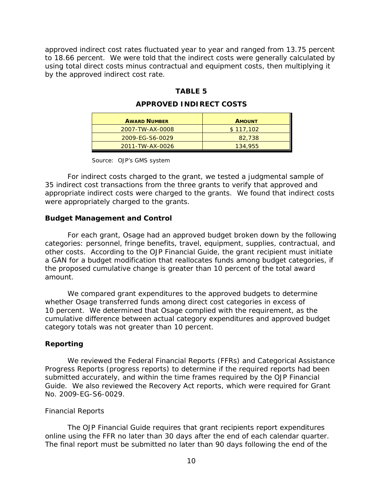using total direct costs minus contractual and equipment costs, then multiplying it approved indirect cost rates fluctuated year to year and ranged from 13.75 percent to 18.66 percent. We were told that the indirect costs were generally calculated by by the approved indirect cost rate.

#### **TABLE 5**

#### **APPROVED INDIRECT COSTS**

| <b>AWARD NUMBER</b> | <b>AMOUNT</b> |
|---------------------|---------------|
| 2007-TW-AX-0008     | \$117,102     |
| 2009-EG-S6-0029     | 82,738        |
| 2011-TW-AX-0026     | 134,955       |

Source: OJP's GMS system

For indirect costs charged to the grant, we tested a judgmental sample of 35 indirect cost transactions from the three grants to verify that approved and appropriate indirect costs were charged to the grants. We found that indirect costs were appropriately charged to the grants.

#### <span id="page-13-0"></span>**Budget Management and Control**

 For each grant, Osage had an approved budget broken down by the following other costs. According to the OJP Financial Guide, the grant recipient must initiate a GAN for a budget modification that reallocates funds among budget categories, if categories: personnel, fringe benefits, travel, equipment, supplies, contractual, and the proposed cumulative change is greater than 10 percent of the total award amount.

 category totals was not greater than 10 percent. We compared grant expenditures to the approved budgets to determine whether Osage transferred funds among direct cost categories in excess of 10 percent. We determined that Osage complied with the requirement, as the cumulative difference between actual category expenditures and approved budget

#### <span id="page-13-1"></span>**Reporting**

 We reviewed the Federal Financial Reports (FFRs) and Categorical Assistance Guide. We also reviewed the Recovery Act reports, which were required for Grant Progress Reports (progress reports) to determine if the required reports had been submitted accurately, and within the time frames required by the OJP Financial No. 2009-EG-S6-0029.

#### <span id="page-13-2"></span>*Financial Reports*

The OJP Financial Guide requires that grant recipients report expenditures online using the FFR no later than 30 days after the end of each calendar quarter. The final report must be submitted no later than 90 days following the end of the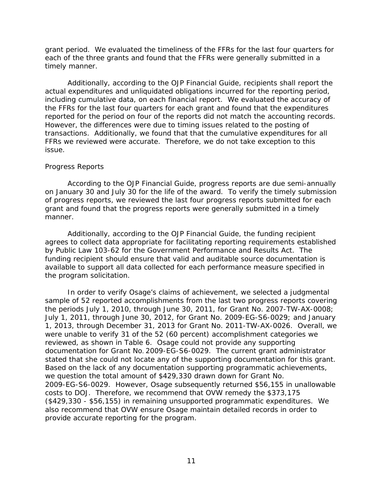grant period. We evaluated the timeliness of the FFRs for the last four quarters for each of the three grants and found that the FFRs were generally submitted in a timely manner.

 including cumulative data, on each financial report. We evaluated the accuracy of reported for the period on four of the reports did not match the accounting records. reported for the period on four of the reports did not match the accounting records.<br>However, the differences were due to timing issues related to the posting of transactions. Additionally, we found that that the cumulative expenditures for all Additionally, according to the OJP Financial Guide, recipients shall report the actual expenditures and unliquidated obligations incurred for the reporting period, the FFRs for the last four quarters for each grant and found that the expenditures FFRs we reviewed were accurate. Therefore, we do not take exception to this issue.

#### <span id="page-14-0"></span>*Progress Reports*

 on January 30 and July 30 for the life of the award. To verify the timely submission grant and found that the progress reports were generally submitted in a timely According to the OJP Financial Guide, progress reports are due semi-annually of progress reports, we reviewed the last four progress reports submitted for each manner.

 by Public Law 103-62 for the Government Performance and Results Act. The Additionally, according to the OJP Financial Guide, the funding recipient agrees to collect data appropriate for facilitating reporting requirements established funding recipient should ensure that valid and auditable source documentation is available to support all data collected for each performance measure specified in the program solicitation.

 1, 2013, through December 31, 2013 for Grant No. 2011-TW-AX-0026. Overall, we were unable to verify 31 of the 52 (60 percent) accomplishment categories we reviewed, as shown in Table 6. Osage could not provide any supporting documentation for Grant No. 2009-EG-S6-0029. The current grant administrator stated that she could not locate any of the supporting documentation for this grant. stated that she could not locate any of the supporting documentation for this grant.<br>Based on the lack of any documentation supporting programmatic achievements, we question the total amount of \$429,330 drawn down for Grant No. 2009-EG-S6-0029. However, Osage subsequently returned \$56,155 in unallowable costs to DOJ. Therefore, we recommend that OVW remedy the \$373,175 (\$429,330 - \$56,155) in remaining unsupported programmatic expenditures. We also recommend that OVW ensure Osage maintain detailed records in order to In order to verify Osage's claims of achievement, we selected a judgmental sample of 52 reported accomplishments from the last two progress reports covering the periods July 1, 2010, through June 30, 2011, for Grant No. 2007-TW-AX-0008; July 1, 2011, through June 30, 2012, for Grant No. 2009-EG-S6-0029; and January provide accurate reporting for the program.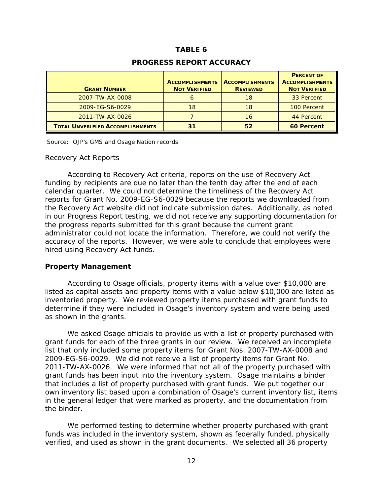### **TABLE 6**

| <b>PROGRESS REPORT ACCURACY</b> |  |
|---------------------------------|--|
|---------------------------------|--|

| <b>GRANT NUMBER</b>                     | <b>ACCOMPLISHMENTS</b><br><b>NOT VERIFIED</b> | <b>ACCOMPLISHMENTS</b><br><b>REVIEWED</b> | <b>PERCENT OF</b><br><b>ACCOMPLISHMENTS</b><br><b>NOT VERIFIED</b> |
|-----------------------------------------|-----------------------------------------------|-------------------------------------------|--------------------------------------------------------------------|
| 2007-TW-AX-0008                         |                                               | 18                                        | 33 Percent                                                         |
| 2009-EG-S6-0029                         | 18                                            | 18                                        | 100 Percent                                                        |
| 2011-TW-AX-0026                         |                                               | 16                                        | 44 Percent                                                         |
| <b>TOTAL UNVERIFIED ACCOMPLISHMENTS</b> | 31                                            | 52                                        | <b>60 Percent</b>                                                  |

Source: OJP's GMS and Osage Nation records

#### <span id="page-15-0"></span>*Recovery Act Reports*

 funding by recipients are due no later than the tenth day after the end of each According to Recovery Act criteria, reports on the use of Recovery Act calendar quarter. We could not determine the timeliness of the Recovery Act reports for Grant No. 2009-EG-S6-0029 because the reports we downloaded from the Recovery Act website did not indicate submission dates. Additionally, as noted in our Progress Report testing, we did not receive any supporting documentation for the progress reports submitted for this grant because the current grant administrator could not locate the information. Therefore, we could not verify the accuracy of the reports. However, we were able to conclude that employees were hired using Recovery Act funds.

#### **Property Management**

 listed as capital assets and property items with a value below \$10,000 are listed as inventoried property. We reviewed property items purchased with grant funds to According to Osage officials, property items with a value over \$10,000 are determine if they were included in Osage's inventory system and were being used as shown in the grants.

 2009-EG-S6-0029. We did not receive a list of property items for Grant No. 2011-TW-AX-0026. We were informed that not all of the property purchased with grant funds has been input into the inventory system. Osage maintains a binder own inventory list based upon a combination of Osage's current inventory list, items We asked Osage officials to provide us with a list of property purchased with grant funds for each of the three grants in our review. We received an incomplete list that only included some property items for Grant Nos. 2007-TW-AX-0008 and that includes a list of property purchased with grant funds. We put together our in the general ledger that were marked as property, and the documentation from the binder.

 funds was included in the inventory system, shown as federally funded, physically We performed testing to determine whether property purchased with grant verified, and used as shown in the grant documents. We selected all 36 property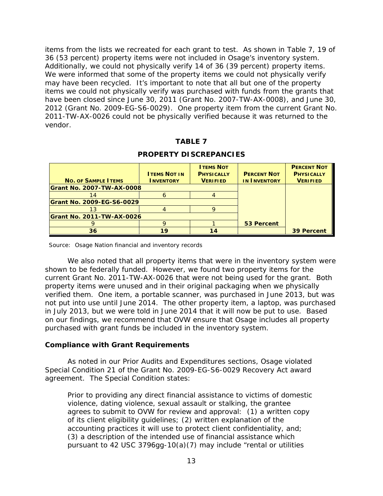items from the lists we recreated for each grant to test. As shown in Table 7, 19 of 36 (53 percent) property items were not included in Osage's inventory system. Additionally, we could not physically verify 14 of 36 (39 percent) property items. may have been recycled. It's important to note that all but one of the property We were informed that some of the property items we could not physically verify items we could not physically verify was purchased with funds from the grants that have been closed since June 30, 2011 (Grant No. 2007-TW-AX-0008), and June 30, 2012 (Grant No. 2009-EG-S6-0029). One property item from the current Grant No. 2011-TW-AX-0026 could not be physically verified because it was returned to the vendor.

### **TABLE 7**

| <b>NO. OF SAMPLE ITEMS</b>       | <b>ITEMS NOT IN</b><br><b>INVENTORY</b> | <b>I TEMS NOT</b><br><b>PHYSICALLY</b><br><b>VERIFIED</b> | <b>PERCENT NOT</b><br><b>IN INVENTORY</b> | <b>PERCENT NOT</b><br><b>PHYSICALLY</b><br><b>VERIFIED</b> |
|----------------------------------|-----------------------------------------|-----------------------------------------------------------|-------------------------------------------|------------------------------------------------------------|
| <b>Grant No. 2007-TW-AX-0008</b> |                                         |                                                           |                                           |                                                            |
|                                  |                                         |                                                           |                                           |                                                            |
| <b>Grant No. 2009-EG-S6-0029</b> |                                         |                                                           |                                           |                                                            |
|                                  |                                         |                                                           |                                           |                                                            |
| <b>Grant No. 2011-TW-AX-0026</b> |                                         |                                                           |                                           |                                                            |
|                                  |                                         |                                                           | 53 Percent                                |                                                            |
| 36                               | 1 Q                                     |                                                           |                                           | <b>39 Percent</b>                                          |

#### **PROPERTY DISCREPANCIES**

Source: Osage Nation financial and inventory records

 We also noted that all property items that were in the inventory system were in July 2013, but we were told in June 2014 that it will now be put to use. Based shown to be federally funded. However, we found two property items for the current Grant No. 2011-TW-AX-0026 that were not being used for the grant. Both property items were unused and in their original packaging when we physically verified them. One item, a portable scanner, was purchased in June 2013, but was not put into use until June 2014. The other property item, a laptop, was purchased on our findings, we recommend that OVW ensure that Osage includes all property purchased with grant funds be included in the inventory system.

#### <span id="page-16-0"></span>**Compliance with Grant Requirements**

As noted in our Prior Audits and Expenditures sections, Osage violated Special Condition 21 of the Grant No. 2009-EG-S6-0029 Recovery Act award agreement. The Special Condition states:

Prior to providing any direct financial assistance to victims of domestic violence, dating violence, sexual assault or stalking, the grantee agrees to submit to OVW for review and approval: (1) a written copy of its client eligibility guidelines; (2) written explanation of the accounting practices it will use to protect client confidentiality, and; (3) a description of the intended use of financial assistance which pursuant to 42 USC 3796gg-10(a)(7) may include "rental or utilities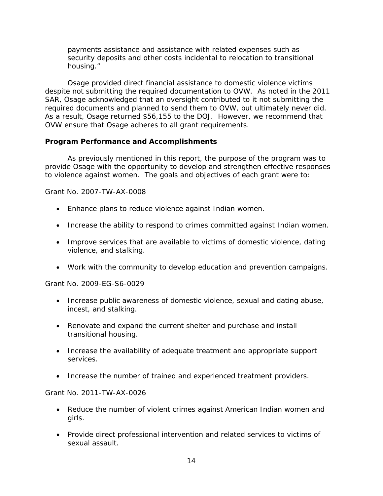payments assistance and assistance with related expenses such as security deposits and other costs incidental to relocation to transitional housing."

 despite not submitting the required documentation to OVW. As noted in the 2011 required documents and planned to send them to OVW, but ultimately never did. required documents and planned to send them to OVW, but ultimately never did.<br>As a result, Osage returned \$56,155 to the DOJ. However, we recommend that Osage provided direct financial assistance to domestic violence victims SAR, Osage acknowledged that an oversight contributed to it not submitting the OVW ensure that Osage adheres to all grant requirements.

### <span id="page-17-0"></span>**Program Performance and Accomplishments**

 to violence against women. The goals and objectives of each grant were to: As previously mentioned in this report, the purpose of the program was to provide Osage with the opportunity to develop and strengthen effective responses

### *Grant No. 2007-TW-AX-0008*

- Enhance plans to reduce violence against Indian women.
- Increase the ability to respond to crimes committed against Indian women.
- Improve services that are available to victims of domestic violence, dating violence, and stalking.
- Work with the community to develop education and prevention campaigns.

### *Grant No. 2009-EG-S6-0029*

- Increase public awareness of domestic violence, sexual and dating abuse, incest, and stalking.
- Renovate and expand the current shelter and purchase and install transitional housing.
- Increase the availability of adequate treatment and appropriate support services.
- Increase the number of trained and experienced treatment providers.

### *Grant No. 2011-TW-AX-0026*

- Reduce the number of violent crimes against American Indian women and girls.
- • Provide direct professional intervention and related services to victims of sexual assault.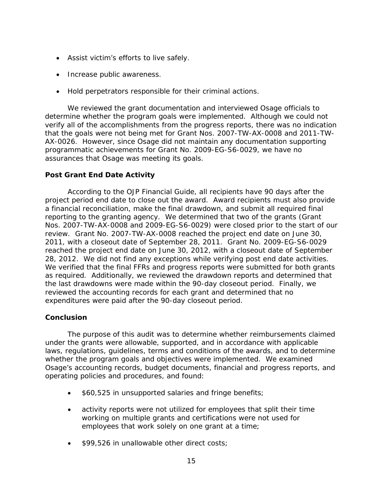- Assist victim's efforts to live safely.
- Increase public awareness.
- Hold perpetrators responsible for their criminal actions.

 AX-0026. However, since Osage did not maintain any documentation supporting We reviewed the grant documentation and interviewed Osage officials to determine whether the program goals were implemented. Although we could not verify all of the accomplishments from the progress reports, there was no indication that the goals were not being met for Grant Nos. 2007-TW-AX-0008 and 2011-TWprogrammatic achievements for Grant No. 2009-EG-S6-0029, we have no assurances that Osage was meeting its goals.

### **Post Grant End Date Activity**

 project period end date to close out the award. Award recipients must also provide reporting to the granting agency. We determined that two of the grants (Grant 28, 2012. We did not find any exceptions while verifying post end date activities. According to the OJP Financial Guide, all recipients have 90 days after the a financial reconciliation, make the final drawdown, and submit all required final Nos. 2007-TW-AX-0008 and 2009-EG-S6-0029) were closed prior to the start of our review. Grant No. 2007-TW-AX-0008 reached the project end date on June 30, 2011, with a closeout date of September 28, 2011. Grant No. 2009-EG-S6-0029 reached the project end date on June 30, 2012, with a closeout date of September We verified that the final FFRs and progress reports were submitted for both grants as required. Additionally, we reviewed the drawdown reports and determined that the last drawdowns were made within the 90-day closeout period. Finally, we reviewed the accounting records for each grant and determined that no expenditures were paid after the 90-day closeout period.

### <span id="page-18-0"></span>**Conclusion**

 whether the program goals and objectives were implemented. We examined The purpose of this audit was to determine whether reimbursements claimed under the grants were allowable, supported, and in accordance with applicable laws, regulations, guidelines, terms and conditions of the awards, and to determine Osage's accounting records, budget documents, financial and progress reports, and operating policies and procedures, and found:

- \$60,525 in unsupported salaries and fringe benefits;
- activity reports were not utilized for employees that split their time working on multiple grants and certifications were not used for employees that work solely on one grant at a time;
- \$99,526 in unallowable other direct costs;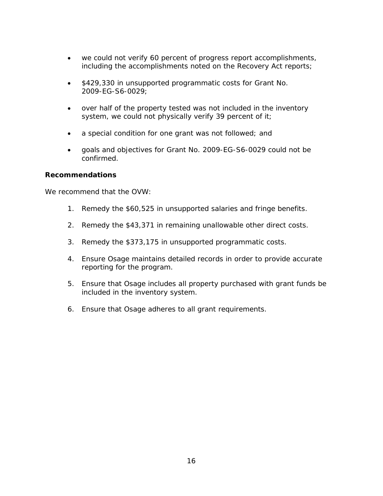- we could not verify 60 percent of progress report accomplishments, including the accomplishments noted on the Recovery Act reports;
- \$429,330 in unsupported programmatic costs for Grant No. 2009-EG-S6-0029;
- over half of the property tested was not included in the inventory system, we could not physically verify 39 percent of it;
- a special condition for one grant was not followed; and
- • goals and objectives for Grant No. 2009-EG-S6-0029 could not be confirmed.

### <span id="page-19-0"></span>**Recommendations**

We recommend that the OVW:

- 1. Remedy the \$60,525 in unsupported salaries and fringe benefits.
- 2. Remedy the \$43,371 in remaining unallowable other direct costs.
- 3. Remedy the \$373,175 in unsupported programmatic costs.
- 4. Ensure Osage maintains detailed records in order to provide accurate reporting for the program.
- included in the inventory system. 5. Ensure that Osage includes all property purchased with grant funds be
- 6. Ensure that Osage adheres to all grant requirements.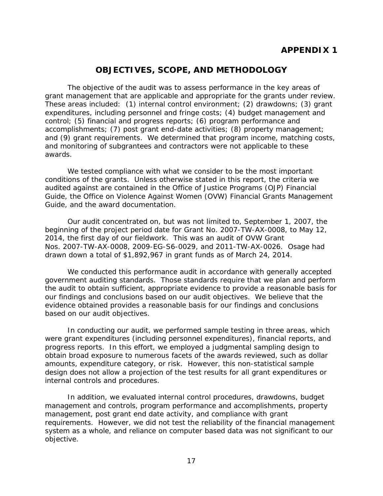### <span id="page-20-0"></span>**OBJECTIVES, SCOPE, AND METHODOLOGY**

<span id="page-20-1"></span> The objective of the audit was to assess performance in the key areas of grant management that are applicable and appropriate for the grants under review. awards. These areas included: (1) internal control environment; (2) drawdowns; (3) grant expenditures, including personnel and fringe costs; (4) budget management and control; (5) financial and progress reports; (6) program performance and accomplishments; (7) post grant end-date activities; (8) property management; and (9) grant requirements. We determined that program income, matching costs, and monitoring of subgrantees and contractors were not applicable to these

 audited against are contained in the Office of Justice Programs (OJP) Financial We tested compliance with what we consider to be the most important conditions of the grants. Unless otherwise stated in this report, the criteria we Guide, the Office on Violence Against Women (OVW) Financial Grants Management Guide, and the award documentation.

 beginning of the project period date for Grant No. 2007-TW-AX-0008, to May 12, Nos. 2007-TW-AX-0008, 2009-EG-S6-0029, and 2011-TW-AX-0026. Osage had drawn down a total of \$1,892,967 in grant funds as of March 24, 2014. Our audit concentrated on, but was not limited to, September 1, 2007, the 2014, the first day of our fieldwork. This was an audit of OVW Grant

We conducted this performance audit in accordance with generally accepted government auditing standards. Those standards require that we plan and perform the audit to obtain sufficient, appropriate evidence to provide a reasonable basis for our findings and conclusions based on our audit objectives. We believe that the evidence obtained provides a reasonable basis for our findings and conclusions based on our audit objectives.

 were grant expenditures (including personnel expenditures), financial reports, and In conducting our audit, we performed sample testing in three areas, which progress reports. In this effort, we employed a judgmental sampling design to obtain broad exposure to numerous facets of the awards reviewed, such as dollar amounts, expenditure category, or risk. However, this non-statistical sample design does not allow a projection of the test results for all grant expenditures or internal controls and procedures.

In addition, we evaluated internal control procedures, drawdowns, budget management and controls, program performance and accomplishments, property management, post grant end date activity, and compliance with grant requirements. However, we did not test the reliability of the financial management system as a whole, and reliance on computer based data was not significant to our objective.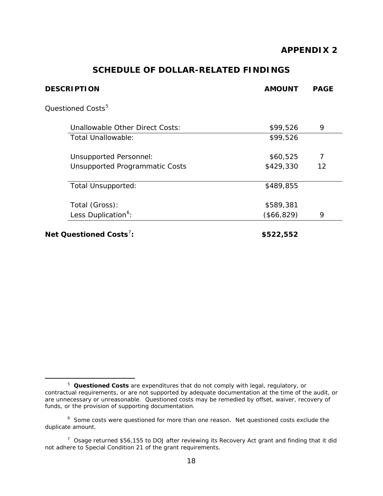### **SCHEDULE OF DOLLAR-RELATED FINDINGS**

<span id="page-21-1"></span><span id="page-21-0"></span>

| <b>DESCRIPTION</b>                    | <b>AMOUNT</b> | <b>PAGE</b> |
|---------------------------------------|---------------|-------------|
| Questioned Costs <sup>5</sup>         |               |             |
| Unallowable Other Direct Costs:       | \$99,526      | 9           |
| Total Unallowable:                    | \$99,526      |             |
| <b>Unsupported Personnel:</b>         | \$60,525      | 7           |
| <b>Unsupported Programmatic Costs</b> | \$429,330     | 12          |
| Total Unsupported:                    | \$489,855     |             |
| Total (Gross):                        | \$589,381     |             |
| Less Duplication <sup>6</sup> :       | (\$66, 829)   | 9           |
| Net Questioned Costs <sup>7</sup> :   | \$522,552     |             |

<span id="page-21-2"></span> $\overline{a}$ <sup>5</sup>*Questioned Costs* are expenditures that do not comply with legal, regulatory, or contractual requirements, or are not supported by adequate documentation at the time of the audit, or are unnecessary or unreasonable. Questioned costs may be remedied by offset, waiver, recovery of funds, or the provision of supporting documentation.

<span id="page-21-3"></span> $6$  Some costs were questioned for more than one reason. Net questioned costs exclude the duplicate amount.

<span id="page-21-4"></span> $7$  Osage returned \$56,155 to DOJ after reviewing its Recovery Act grant and finding that it did not adhere to Special Condition 21 of the grant requirements.<br>18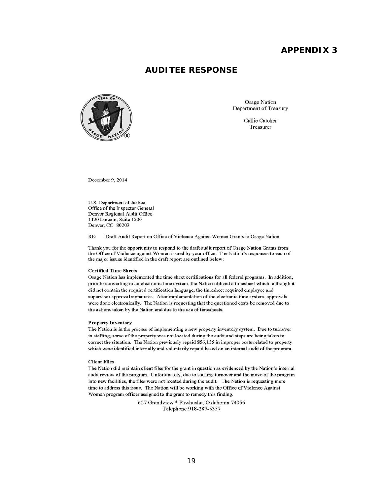### **AUDITEE RESPONSE**

<span id="page-22-1"></span><span id="page-22-0"></span>

Osage Nation Department of Treasury

> Callie Catcher Treasurer

December 9, 2014

U.S. Department of Justice Office of the Inspector General Denver Regional Audit Office 1120 Lincoln, Suite 1500 Denver, CO 80203

RE: Draft Audit Report on Office of Violence Against Women Grants to Osage Nation

Thank you for the opportunity to respond to the draft audit report of Osage Nation Grants from the Office of Violence against Women issued by your office. The Nation's responses to each of the major issues identified in the draft report are outlined below:

#### **Certified Time Sheets**

Osage Nation has implemented the time sheet certifications for all federal programs. In addition, prior to converting to an electronic time system, the Nation utilized a timesheet which, although it did not contain the required certification language, the timesheet required employee and supervisor approval signatures. After implementation of the electronic time system, approvals were done electronically. The Nation is requesting that the questioned costs be removed due to the actions taken by the Nation and due to the use of timesheets.

#### Property Inventory

The Nation is in the process of implementing a new property inventory system. Due to turnover in staffing, some of the property was not located during the audit and steps are being taken to correct the situation. The Nation previously repaid \$56,155 in improper costs related to property which were identified internally and voluntarily repaid based on an internal audit of the program.

#### Client Files

The Nation did maintain client files for the grant in question as evidenced by the Nation's internal audit review of the program. Unfortunately, due to staffing turnover and the move of the program into new facilities, the files were not located during the audit. The Nation is requesting more time to address this issue. The Nation will be working with the Office of Violence Against Women program officer assigned to the grant to remedy this finding.

> 627 Grandview· Pawhuska, Oklahoma 74056 Telephone 918-287-5357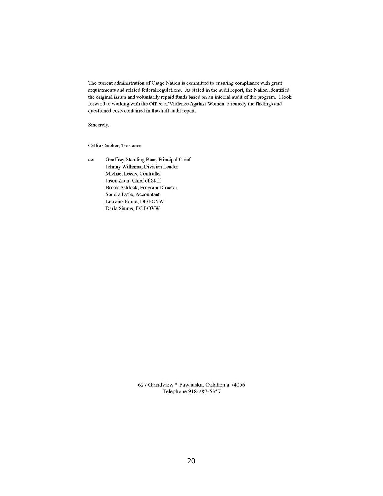<span id="page-23-0"></span>The current administration of Osage Nation is committed to ensuring compliance with grant requirements and related federal regulations. As stated in the audit report, the Nation identified the original issues and voluntarily repaid funds based on an internal audit of the program. I look forward to working with the Office of Violence Against Women to remedy the findings and questioned costs contained in the draft audit report.

Sincerely,

Callie Catcher, Treasurer

cc: Geoffrey Standing Bear, Principal Chief Johnny Williams, Division Leader Michael Lewis, Controller Jason Zaun, Chief of Staff Brook Ashlock, Program Director Sondra Lytle, Accountant Lorraine Edmo, DOJ-OVW Darla Simms, DOJ-OVW

> 627 Grandview· Pawhuska, Oklahoma 74056 Telephone 918-287-5357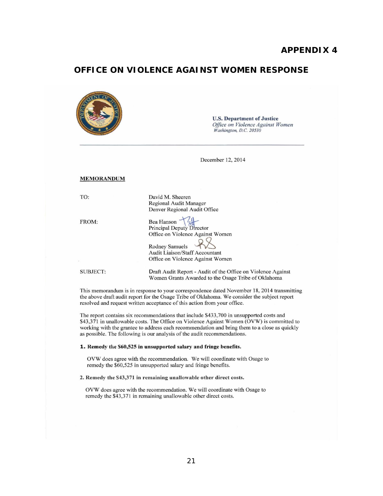### <span id="page-24-0"></span>**OFFICE ON VIOLENCE AGAINST WOMEN RESPONSE**

|                   | <b>U.S. Department of Justice</b><br>Office on Violence Against Women<br>Washington, D.C. 20530                                                                                   |
|-------------------|-----------------------------------------------------------------------------------------------------------------------------------------------------------------------------------|
|                   | December 12, 2014                                                                                                                                                                 |
| <b>MEMORANDUM</b> |                                                                                                                                                                                   |
| TO:               | David M. Sheeren<br>Regional Audit Manager<br>Denver Regional Audit Office                                                                                                        |
| FROM:             | Bea Hanson<br><b>Principal Deputy Director</b><br>Office on Violence Against Women<br>Rodney Samuels<br><b>Audit Liaison/Staff Accountant</b><br>Office on Violence Against Women |
| <b>SUBJECT:</b>   | Draft Audit Report - Audit of the Office on Violence Against<br>Women Grants Awarded to the Osage Tribe of Oklahoma                                                               |

This memorandum is in response to your correspondence dated November 18, 2014 transmitting the above draft audit report for the Osage Tribe of Oklahoma. We consider the subject report resolved and request written acceptance of this action from your office.

The report contains six recommendations that include \$433,700 in unsupported costs and \$43,371 in unallowable costs. The Office on Violence Against Women (OVW) is committed to working with the grantee to address each recommendation and bring them to a close as quickly as possible. The following is our analysis of the audit recommendations.

#### 1. Remedy the \$60,525 in unsupported salary and fringe benefits.

OVW does agree with the recommendation. We will coordinate with Osage to remedy the \$60,525 in unsupported salary and fringe benefits.

#### 2. Remedy the \$43,371 in remaining unallowable other direct costs.

OVW does agree with the recommendation. We will coordinate with Osage to remedy the \$43,371 in remaining unallowable other direct costs.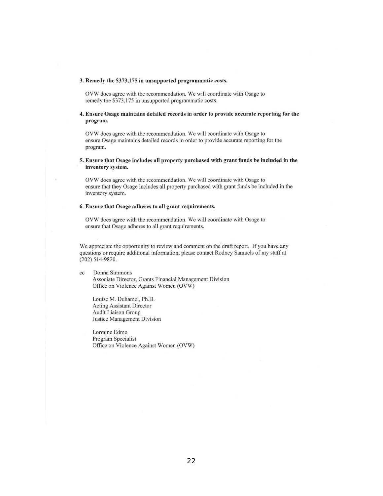#### 3. Remedy the \$373,175 in unsupported programmatic costs.

OVW does agree with the recommendation. We will coordinate with Osage to remedy the \$373,175 in unsupported programmatic costs.

#### 4. Ensure Osage maintains detailed records in order to providc accurate reporting for the program.

OVW does agree with the recommendation. We will coordinate with Osage to **ensure Osage maintains detailed records in order to provide accurate reporting for the**  program.

#### 5. Ensure that Osage includes all property purchased with grant funds be included in the inventory system.

**OVW docs agree with the recommendation. We will coordinate with Osage to**  ensure that they Osage includes all property purchased with grant funds be included in the **inventory system.** 

#### 6. Ensure that Osage adheres to all grant requirements.

OVW does agree with the recommendation. We will coordinate with Osage to ensure that Osage adheres to all grant requirements.

We appreciate the opportunity to review and comment on the draft report. If you have any questions or require additional information, please contact Rodney Samuels of my staff at (202) 514-9820.

**cc Donna Simmons Associate Director, Grants Financial Management Division**  Office on Violence Against Women (OVW)

Louise M. Duhamel, Ph.D. **Acting Assistant Director**  Audit Liaison Group **Justice Management Division** 

**Lorraine Edmo**  Program Specialist Office on Violence Against Women (OVW)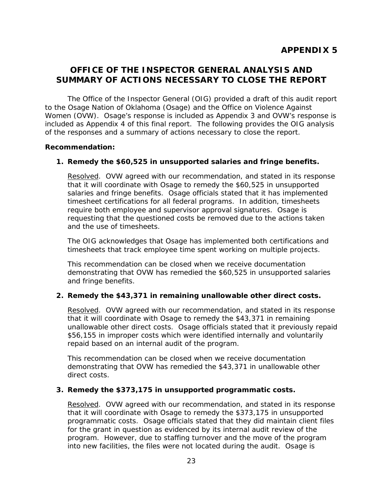### <span id="page-26-2"></span><span id="page-26-1"></span><span id="page-26-0"></span>**OFFICE OF THE INSPECTOR GENERAL ANALYSIS AND SUMMARY OF ACTIONS NECESSARY TO CLOSE THE REPORT**

 included as Appendix 4 of this final report. The following provides the OIG analysis The Office of the Inspector General (OIG) provided a draft of this audit report to the Osage Nation of Oklahoma (Osage) and the Office on Violence Against Women (OVW). Osage's response is included as Appendix 3 and OVW's response is of the responses and a summary of actions necessary to close the report.

#### **Recommendation:**

### **1. Remedy the \$60,525 in unsupported salaries and fringe benefits.**

 salaries and fringe benefits. Osage officials stated that it has implemented Resolved. OVW agreed with our recommendation, and stated in its response that it will coordinate with Osage to remedy the \$60,525 in unsupported timesheet certifications for all federal programs. In addition, timesheets require both employee and supervisor approval signatures. Osage is requesting that the questioned costs be removed due to the actions taken and the use of timesheets.

The OIG acknowledges that Osage has implemented both certifications and timesheets that track employee time spent working on multiple projects.

This recommendation can be closed when we receive documentation demonstrating that OVW has remedied the \$60,525 in unsupported salaries and fringe benefits.

### **2. Remedy the \$43,371 in remaining unallowable other direct costs.**

 unallowable other direct costs. Osage officials stated that it previously repaid Resolved. OVW agreed with our recommendation, and stated in its response that it will coordinate with Osage to remedy the \$43,371 in remaining \$56,155 in improper costs which were identified internally and voluntarily repaid based on an internal audit of the program.

This recommendation can be closed when we receive documentation demonstrating that OVW has remedied the \$43,371 in unallowable other direct costs.

### **3. Remedy the \$373,175 in unsupported programmatic costs.**

 programmatic costs. Osage officials stated that they did maintain client files Resolved. OVW agreed with our recommendation, and stated in its response that it will coordinate with Osage to remedy the \$373,175 in unsupported for the grant in question as evidenced by its internal audit review of the program. However, due to staffing turnover and the move of the program into new facilities, the files were not located during the audit. Osage is